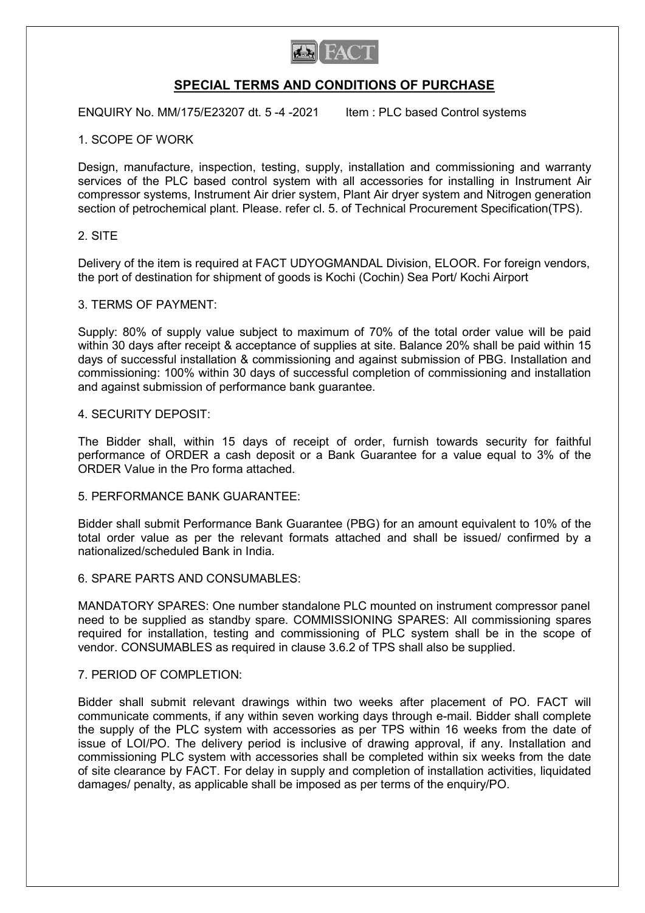

# SPECIAL TERMS AND CONDITIONS OF PURCHASE

ENQUIRY No. MM/175/E23207 dt. 5 -4 -2021 ltem : PLC based Control systems

# 1. SCOPE OF WORK

Design, manufacture, inspection, testing, supply, installation and commissioning and warranty services of the PLC based control system with all accessories for installing in Instrument Air compressor systems, Instrument Air drier system, Plant Air dryer system and Nitrogen generation section of petrochemical plant. Please. refer cl. 5. of Technical Procurement Specification(TPS).

# 2. SITE

Delivery of the item is required at FACT UDYOGMANDAL Division, ELOOR. For foreign vendors, the port of destination for shipment of goods is Kochi (Cochin) Sea Port/ Kochi Airport

# 3. TERMS OF PAYMENT:

Supply: 80% of supply value subject to maximum of 70% of the total order value will be paid within 30 days after receipt & acceptance of supplies at site. Balance 20% shall be paid within 15 days of successful installation & commissioning and against submission of PBG. Installation and commissioning: 100% within 30 days of successful completion of commissioning and installation and against submission of performance bank guarantee.

# 4. SECURITY DEPOSIT:

The Bidder shall, within 15 days of receipt of order, furnish towards security for faithful performance of ORDER a cash deposit or a Bank Guarantee for a value equal to 3% of the ORDER Value in the Pro forma attached.

# 5. PERFORMANCE BANK GUARANTEE:

Bidder shall submit Performance Bank Guarantee (PBG) for an amount equivalent to 10% of the total order value as per the relevant formats attached and shall be issued/ confirmed by a nationalized/scheduled Bank in India.

# 6. SPARE PARTS AND CONSUMABLES:

MANDATORY SPARES: One number standalone PLC mounted on instrument compressor panel need to be supplied as standby spare. COMMISSIONING SPARES: All commissioning spares required for installation, testing and commissioning of PLC system shall be in the scope of vendor. CONSUMABLES as required in clause 3.6.2 of TPS shall also be supplied.

# 7. PERIOD OF COMPLETION:

Bidder shall submit relevant drawings within two weeks after placement of PO. FACT will communicate comments, if any within seven working days through e-mail. Bidder shall complete the supply of the PLC system with accessories as per TPS within 16 weeks from the date of issue of LOI/PO. The delivery period is inclusive of drawing approval, if any. Installation and commissioning PLC system with accessories shall be completed within six weeks from the date of site clearance by FACT. For delay in supply and completion of installation activities, liquidated damages/ penalty, as applicable shall be imposed as per terms of the enquiry/PO.